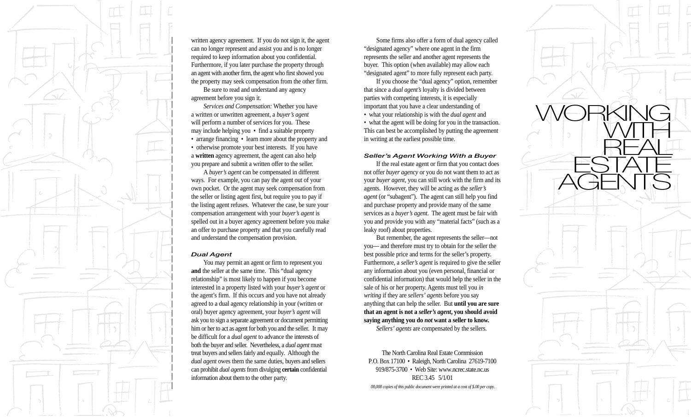

written agency agreement. If you do not sign it, the agent can no longer represent and assist you and is no longer required to keep information about you confidential. Furthermore, if you later purchase the property through an agent with another firm, the agent who first showed you the property may seek compensation from the other firm.

Be sure to read and understand any agency agreement before you sign it.

*Services and Compensation:* Whether you have a written or unwritten agreement, a *buyer's agent* will perform a number of services for you. These may include helping you • find a suitable property • arrange financing • learn more about the property and • otherwise promote your best interests. If you have a **written** agency agreement, the agent can also help you prepare and submit a written offer to the seller.

A *buyer's agent* can be compensated in different ways. For example, you can pay the agent out of your own pocket. Or the agent may seek compensation from the seller or listing agent first, but require you to pay if the listing agent refuses. Whatever the case, be sure your compensation arrangement with your *buyer's agent* is spelled out in a buyer agency agreement before you make an offer to purchase property and that you carefully read and understand the compensation provision.

#### *Dual Agent*

You may permit an agent or firm to represent you **and** the seller at the same time. This "dual agency relationship" is most likely to happen if you become interested in a property listed with your *buyer's agent* or the agent's firm. If this occurs and you have not already agreed to a dual agency relationship in your (written or oral) buyer agency agreement, your *buyer's agent* will ask you to sign a separate agreement or document permitting him or her to act as agent for both you and the seller. It may be difficult for a *dual agent* to advance the interests of both the buyer and seller. Nevertheless, a *dual agent* must treat buyers and sellers fairly and equally. Although the *dual agent* owes them the same duties, buyers and sellers can prohibit *dual agents* from divulging **certain** confidential information about them to the other party.

Some firms also offer a form of dual agency called "designated agency" where one agent in the firm represents the seller and another agent represents the buyer. This option (when available) may allow each "designated agent" to more fully represent each party.

If you choose the "dual agency" option, remember that since a *dual agent's* loyalty is divided between parties with competing interests, it is especially important that you have a clear understanding of • what your relationship is with the *dual agent* and • what the agent will be doing for you in the transaction. This can best be accomplished by putting the agreement in writing at the earliest possible time.

### *Seller's Agent Working With a Buyer*

If the real estate agent or firm that you contact does not offer *buyer agency* or you do not want them to act as your *buyer agent*, you can still work with the firm and its agents. However, they will be acting as the *seller's agent* (or "subagent"). The agent can still help you find and purchase property and provide many of the same services as a *buyer's agent*. The agent must be fair with you and provide you with any "material facts" (such as a leaky roof) about properties.

But remember, the agent represents the seller—not you— and therefore must try to obtain for the seller the best possible price and terms for the seller's property. Furthermore, a *seller's agent* is required to give the seller any information about you (even personal, financial or confidential information) that would help the seller in the sale of his or her property. Agents must tell you *in writing* if they are *sellers' agents* before you say anything that can help the seller. But **until you are sure that an agent is not a** *seller's agent***, you should avoid saying anything you do** *not* **want a seller to know.** *Sellers' agents* are compensated by the sellers.

The North Carolina Real Estate Commission P.O. Box 17100 • Raleigh, North Carolina 27619-7100 919/875-3700 • Web Site: www.ncrec.state.nc.us REC 3.45 5/1/01 *00,000 copies of this public document were printed at a cost of \$.00 per copy.*